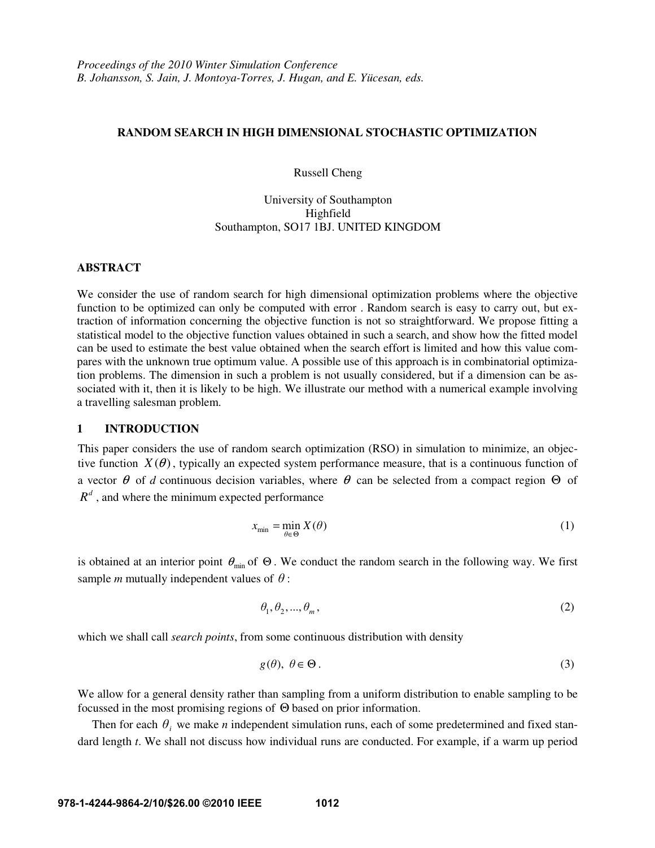# **RANDOM SEARCH IN HIGH DIMENSIONAL STOCHASTIC OPTIMIZATION**

Russell Cheng

# University of Southampton Highfield Southampton, SO17 1BJ. UNITED KINGDOM

## **ABSTRACT**

We consider the use of random search for high dimensional optimization problems where the objective function to be optimized can only be computed with error . Random search is easy to carry out, but extraction of information concerning the objective function is not so straightforward. We propose fitting a statistical model to the objective function values obtained in such a search, and show how the fitted model can be used to estimate the best value obtained when the search effort is limited and how this value compares with the unknown true optimum value. A possible use of this approach is in combinatorial optimization problems. The dimension in such a problem is not usually considered, but if a dimension can be associated with it, then it is likely to be high. We illustrate our method with a numerical example involving a travelling salesman problem.

# **1 INTRODUCTION**

This paper considers the use of random search optimization (RSO) in simulation to minimize, an objective function  $X(\theta)$ , typically an expected system performance measure, that is a continuous function of a vector  $\theta$  of *d* continuous decision variables, where  $\theta$  can be selected from a compact region  $\Theta$  of  $R<sup>d</sup>$ , and where the minimum expected performance

$$
x_{\min} = \min_{\theta \in \Theta} X(\theta) \tag{1}
$$

is obtained at an interior point  $\theta_{\min}$  of  $\Theta$ . We conduct the random search in the following way. We first sample *m* mutually independent values of *θ* :

$$
\theta_1, \theta_2, \dots, \theta_m,\tag{2}
$$

which we shall call *search points*, from some continuous distribution with density

$$
g(\theta), \ \theta \in \Theta \,. \tag{3}
$$

We allow for a general density rather than sampling from a uniform distribution to enable sampling to be focussed in the most promising regions of Θ based on prior information.

Then for each  $\theta$ , we make *n* independent simulation runs, each of some predetermined and fixed standard length *t*. We shall not discuss how individual runs are conducted. For example, if a warm up period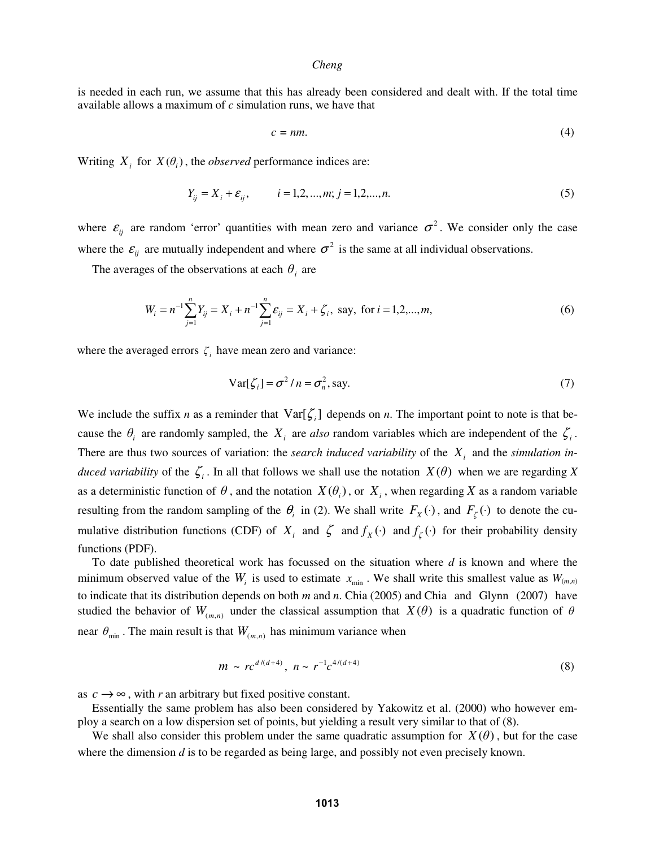is needed in each run, we assume that this has already been considered and dealt with. If the total time available allows a maximum of *c* simulation runs, we have that

$$
c = nm. \tag{4}
$$

Writing  $X_i$  for  $X(\theta_i)$ , the *observed* performance indices are:

$$
Y_{ij} = X_i + \varepsilon_{ij}, \qquad i = 1, 2, ..., m; j = 1, 2, ..., n. \tag{5}
$$

where  $\mathcal{E}_{ij}$  are random 'error' quantities with mean zero and variance  $\sigma^2$ . We consider only the case where the  $\mathcal{E}_{ij}$  are mutually independent and where  $\sigma^2$  is the same at all individual observations.

The averages of the observations at each  $\theta$ , are

$$
W_i = n^{-1} \sum_{j=1}^n Y_{ij} = X_i + n^{-1} \sum_{j=1}^n \varepsilon_{ij} = X_i + \zeta_i, \text{ say, for } i = 1, 2, ..., m,
$$
 (6)

where the averaged errors  $\zeta$  have mean zero and variance:

$$
Var[\zeta_i] = \sigma^2 / n = \sigma_n^2, say. \tag{7}
$$

We include the suffix *n* as a reminder that  $Var[\zeta_i]$  depends on *n*. The important point to note is that because the  $\theta_i$  are randomly sampled, the  $X_i$  are *also* random variables which are independent of the  $\zeta_i$ . There are thus two sources of variation: the *search induced variability* of the  $X_i$  and the *simulation induced variability* of the  $\zeta$  *i*. In all that follows we shall use the notation  $X(\theta)$  when we are regarding X as a deterministic function of  $\theta$ , and the notation  $X(\theta_i)$ , or  $X_i$ , when regarding X as a random variable resulting from the random sampling of the  $\theta_i$  in (2). We shall write  $F_\chi(\cdot)$ , and  $F_\zeta(\cdot)$  to denote the cumulative distribution functions (CDF) of  $X_i$  and  $\zeta$  and  $f_X(\cdot)$  and  $f_{\zeta}(\cdot)$  for their probability density functions (PDF).

 To date published theoretical work has focussed on the situation where *d* is known and where the minimum observed value of the  $W_i$  is used to estimate  $x_{\text{min}}$ . We shall write this smallest value as  $W_{(m,n)}$ to indicate that its distribution depends on both *m* and *n*. Chia (2005) and Chia and Glynn (2007) have studied the behavior of  $W_{(m,n)}$  under the classical assumption that  $X(\theta)$  is a quadratic function of  $\theta$ near  $\theta_{\min}$ . The main result is that  $W_{(m,n)}$  has minimum variance when

$$
m \sim rc^{d/(d+4)}, n \sim r^{-1}c^{4/(d+4)}
$$
 (8)

as  $c \rightarrow \infty$ , with *r* an arbitrary but fixed positive constant.

 Essentially the same problem has also been considered by Yakowitz et al. (2000) who however employ a search on a low dispersion set of points, but yielding a result very similar to that of (8).

We shall also consider this problem under the same quadratic assumption for  $X(\theta)$ , but for the case where the dimension *d* is to be regarded as being large, and possibly not even precisely known.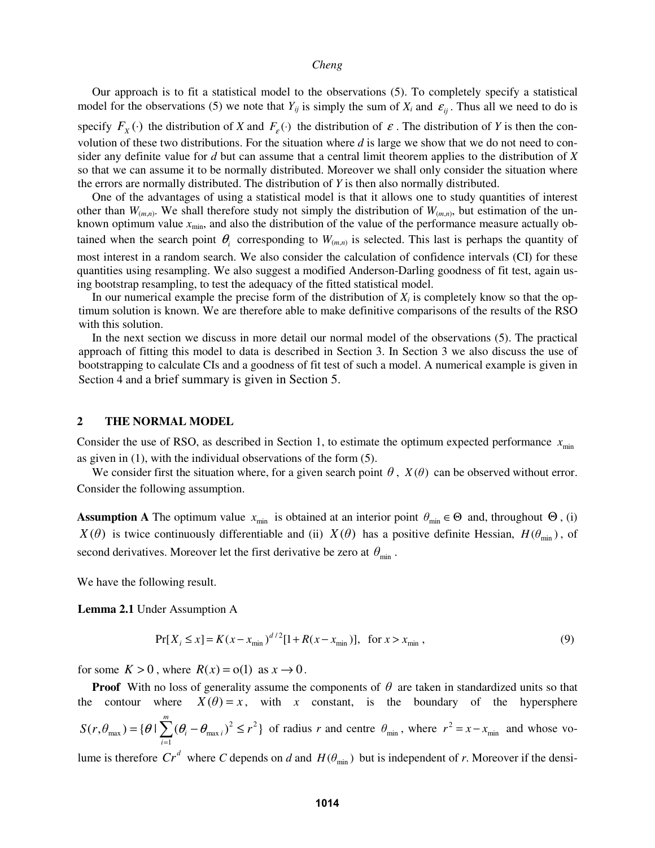Our approach is to fit a statistical model to the observations (5). To completely specify a statistical model for the observations (5) we note that  $Y_{ij}$  is simply the sum of  $X_i$  and  $\varepsilon_{ij}$ . Thus all we need to do is specify  $F_X(\cdot)$  the distribution of *X* and  $F_{\varepsilon}(\cdot)$  the distribution of  $\varepsilon$ . The distribution of *Y* is then the convolution of these two distributions. For the situation where *d* is large we show that we do not need to consider any definite value for *d* but can assume that a central limit theorem applies to the distribution of *X* so that we can assume it to be normally distributed. Moreover we shall only consider the situation where the errors are normally distributed. The distribution of *Y* is then also normally distributed.

 One of the advantages of using a statistical model is that it allows one to study quantities of interest other than  $W_{(m,n)}$ . We shall therefore study not simply the distribution of  $W_{(m,n)}$ , but estimation of the unknown optimum value  $x_{\text{min}}$ , and also the distribution of the value of the performance measure actually obtained when the search point  $\theta_i$  corresponding to  $W_{(m,n)}$  is selected. This last is perhaps the quantity of most interest in a random search. We also consider the calculation of confidence intervals (CI) for these quantities using resampling. We also suggest a modified Anderson-Darling goodness of fit test, again using bootstrap resampling, to test the adequacy of the fitted statistical model.

In our numerical example the precise form of the distribution of  $X_i$  is completely know so that the optimum solution is known. We are therefore able to make definitive comparisons of the results of the RSO with this solution.

 In the next section we discuss in more detail our normal model of the observations (5). The practical approach of fitting this model to data is described in Section 3. In Section 3 we also discuss the use of bootstrapping to calculate CIs and a goodness of fit test of such a model. A numerical example is given in Section 4 and a brief summary is given in Section 5.

### **2 THE NORMAL MODEL**

Consider the use of RSO, as described in Section 1, to estimate the optimum expected performance  $x_{\text{min}}$ as given in (1), with the individual observations of the form (5).

We consider first the situation where, for a given search point  $\theta$ ,  $X(\theta)$  can be observed without error. Consider the following assumption.

**Assumption A** The optimum value  $x_{min}$  is obtained at an interior point  $\theta_{min} \in \Theta$  and, throughout  $\Theta$ , (i)  $X(\theta)$  is twice continuously differentiable and (ii)  $X(\theta)$  has a positive definite Hessian,  $H(\theta_{\min})$ , of second derivatives. Moreover let the first derivative be zero at  $\theta_{\min}$ .

We have the following result.

**Lemma 2.1** Under Assumption A

$$
\Pr[X_i \le x] = K(x - x_{\min})^{d/2} [1 + R(x - x_{\min})], \text{ for } x > x_{\min},
$$
\n(9)

for some  $K > 0$ , where  $R(x) = o(1)$  as  $x \to 0$ .

**Proof** With no loss of generality assume the components of  $\theta$  are taken in standardized units so that the contour where  $X(\theta) = x$ , with *x* constant, is the boundary of the hypersphere  $(r,\theta_{\text{max}}) = {\theta \mid \sum (\theta_i - \theta_{\text{max}})^2 \leq r^2}$ 1  $\mathcal{L}_{\max}$ ) = { $\theta$  |  $\sum_{i=1}^{m} (\theta_i - \theta_{\max i})^2 \leq r^2$ =  $= {\theta \mid \sum (\theta_i - \theta_{\text{max } i})^2} \le$ *m i*  $S(r, \theta_{\text{max}}) = {\theta | \sum (\theta_i - \theta_{\text{max}})^2 \le r^2}$  of radius *r* and centre  $\theta_{\text{min}}$ , where  $r^2 = x - x_{\text{min}}$  and whose vo-

lume is therefore  $Cr^d$  where *C* depends on *d* and  $H(\theta_{\min})$  but is independent of *r*. Moreover if the densi-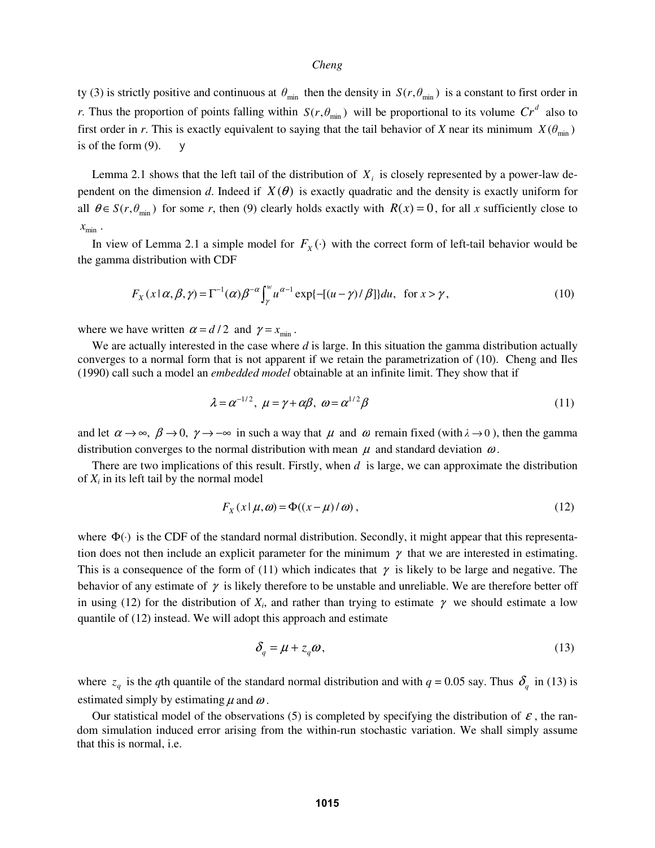ty (3) is strictly positive and continuous at  $\theta_{\min}$  then the density in  $S(r, \theta_{\min})$  is a constant to first order in *r*. Thus the proportion of points falling within  $S(r, \theta_{\min})$  will be proportional to its volume  $Cr^d$  also to first order in *r*. This is exactly equivalent to saying that the tail behavior of *X* near its minimum  $X(\theta_{\min})$ is of the form  $(9)$ . y

Lemma 2.1 shows that the left tail of the distribution of  $X_i$  is closely represented by a power-law dependent on the dimension *d*. Indeed if  $X(\theta)$  is exactly quadratic and the density is exactly uniform for all  $\theta \in S(r, \theta_{\min})$  for some *r*, then (9) clearly holds exactly with  $R(x) = 0$ , for all *x* sufficiently close to  $x_{\min}$ .

In view of Lemma 2.1 a simple model for  $F<sub>X</sub>(·)$  with the correct form of left-tail behavior would be the gamma distribution with CDF

$$
F_X(x \mid \alpha, \beta, \gamma) = \Gamma^{-1}(\alpha) \beta^{-\alpha} \int_{\gamma}^{\omega} u^{\alpha-1} \exp\{-\left[(u-\gamma)/\beta\right]\} du, \text{ for } x > \gamma,
$$
 (10)

where we have written  $\alpha = d/2$  and  $\gamma = x_{\min}$ .

We are actually interested in the case where *d* is large. In this situation the gamma distribution actually converges to a normal form that is not apparent if we retain the parametrization of (10). Cheng and Iles (1990) call such a model an *embedded model* obtainable at an infinite limit. They show that if

$$
\lambda = \alpha^{-1/2}, \ \mu = \gamma + \alpha \beta, \ \omega = \alpha^{1/2} \beta \tag{11}
$$

and let  $\alpha \to \infty$ ,  $\beta \to 0$ ,  $\gamma \to -\infty$  in such a way that  $\mu$  and  $\omega$  remain fixed (with  $\lambda \to 0$ ), then the gamma distribution converges to the normal distribution with mean  $\mu$  and standard deviation  $\omega$ .

 There are two implications of this result. Firstly, when *d* is large, we can approximate the distribution of  $X_i$  in its left tail by the normal model

$$
F_X(x | \mu, \omega) = \Phi((x - \mu)/\omega), \qquad (12)
$$

where  $\Phi(\cdot)$  is the CDF of the standard normal distribution. Secondly, it might appear that this representation does not then include an explicit parameter for the minimum  $\gamma$  that we are interested in estimating. This is a consequence of the form of (11) which indicates that  $\gamma$  is likely to be large and negative. The behavior of any estimate of  $\gamma$  is likely therefore to be unstable and unreliable. We are therefore better off in using (12) for the distribution of  $X_i$ , and rather than trying to estimate  $\gamma$  we should estimate a low quantile of (12) instead. We will adopt this approach and estimate

$$
\delta_q = \mu + z_q \omega,\tag{13}
$$

where  $z_q$  is the *q*th quantile of the standard normal distribution and with  $q = 0.05$  say. Thus  $\delta_q$  in (13) is estimated simply by estimating  $\mu$  and  $\omega$ .

Our statistical model of the observations (5) is completed by specifying the distribution of  $\varepsilon$ , the random simulation induced error arising from the within-run stochastic variation. We shall simply assume that this is normal, i.e.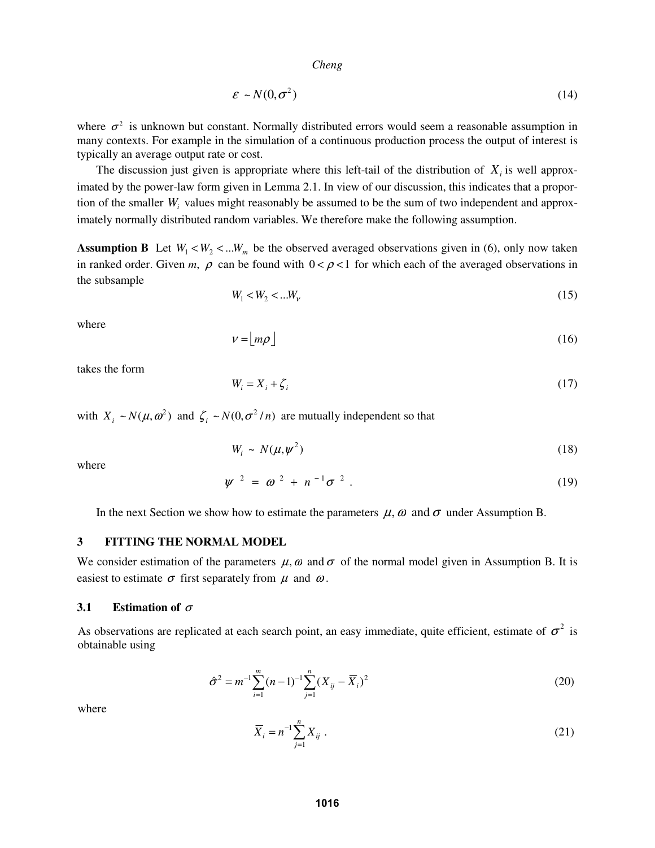*Cheng* 

$$
\mathcal{E} \sim N(0, \sigma^2) \tag{14}
$$

where  $\sigma^2$  is unknown but constant. Normally distributed errors would seem a reasonable assumption in many contexts. For example in the simulation of a continuous production process the output of interest is typically an average output rate or cost.

The discussion just given is appropriate where this left-tail of the distribution of  $X_i$  is well approximated by the power-law form given in Lemma 2.1. In view of our discussion, this indicates that a proportion of the smaller  $W_i$  values might reasonably be assumed to be the sum of two independent and approximately normally distributed random variables. We therefore make the following assumption.

**Assumption B** Let  $W_1 < W_2 < ... W_m$  be the observed averaged observations given in (6), only now taken in ranked order. Given *m*,  $\rho$  can be found with  $0 < \rho < 1$  for which each of the averaged observations in the subsample

$$
W_1 < W_2 < \dots W_\nu \tag{15}
$$

where

$$
v = \lfloor m\rho \rfloor \tag{16}
$$

takes the form

$$
W_i = X_i + \zeta_i \tag{17}
$$

with  $X_i \sim N(\mu, \omega^2)$  and  $\zeta_i \sim N(0, \sigma^2/n)$  are mutually independent so that

$$
W_i \sim N(\mu, \psi^2) \tag{18}
$$

where

$$
\psi^2 = \omega^2 + n^{-1} \sigma^2 \ . \tag{19}
$$

In the next Section we show how to estimate the parameters  $\mu$ ,  $\omega$  and  $\sigma$  under Assumption B.

## **3 FITTING THE NORMAL MODEL**

We consider estimation of the parameters  $\mu$ ,  $\omega$  and  $\sigma$  of the normal model given in Assumption B. It is easiest to estimate  $\sigma$  first separately from  $\mu$  and  $\omega$ .

### **3.1 Estimation of** <sup>σ</sup>

As observations are replicated at each search point, an easy immediate, quite efficient, estimate of  $\sigma^2$  is obtainable using

$$
\hat{\sigma}^2 = m^{-1} \sum_{i=1}^m (n-1)^{-1} \sum_{j=1}^n (X_{ij} - \overline{X}_i)^2
$$
 (20)

where

$$
\overline{X}_i = n^{-1} \sum_{j=1}^n X_{ij} \tag{21}
$$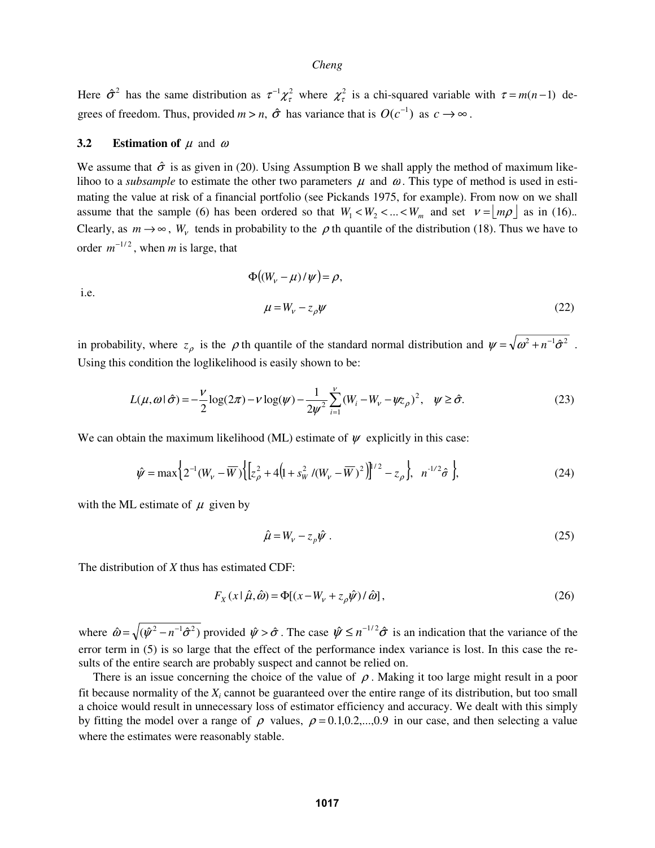Here  $\hat{\sigma}^2$  has the same distribution as  $\tau^{-1}\chi^2_\tau$  where  $\chi^2_\tau$  is a chi-squared variable with  $\tau = m(n-1)$  degrees of freedom. Thus, provided  $m > n$ ,  $\hat{\sigma}$  has variance that is  $O(c^{-1})$  as  $c \rightarrow \infty$ .

# **3.2 Estimation of**  $\mu$  and  $\omega$

We assume that  $\hat{\sigma}$  is as given in (20). Using Assumption B we shall apply the method of maximum likelihoo to a *subsample* to estimate the other two parameters  $\mu$  and  $\omega$ . This type of method is used in estimating the value at risk of a financial portfolio (see Pickands 1975, for example). From now on we shall assume that the sample (6) has been ordered so that  $W_1 < W_2 < ... < W_m$  and set  $v = |m\rho|$  as in (16). Clearly, as  $m \to \infty$ ,  $W_v$  tends in probability to the  $\rho$  th quantile of the distribution (18). Thus we have to order  $m^{-1/2}$ , when *m* is large, that

 $\Phi\big((W_u - \mu)/\psi\big) = \rho,$ 

i.e.

$$
\mu = W_v - z_\rho \psi \tag{22}
$$

in probability, where  $z_\rho$  is the  $\rho$  th quantile of the standard normal distribution and  $\psi = \sqrt{\omega^2 + n^{-1} \hat{\sigma}^2}$ . Using this condition the loglikelihood is easily shown to be:

$$
L(\mu, \omega | \hat{\sigma}) = -\frac{v}{2} \log(2\pi) - v \log(\psi) - \frac{1}{2\psi^2} \sum_{i=1}^{v} (W_i - W_v - \psi z_{\rho})^2, \quad \psi \ge \hat{\sigma}.
$$
 (23)

We can obtain the maximum likelihood (ML) estimate of  $\psi$  explicitly in this case:

$$
\hat{\psi} = \max \left\{ 2^{-1} (W_{\nu} - \overline{W}) \left\{ \left[ z_{\rho}^2 + 4 \left( 1 + s_W^2 / (W_{\nu} - \overline{W})^2 \right) \right]^{1/2} - z_{\rho} \right\}, \quad n^{-1/2} \hat{\sigma} \right\},\tag{24}
$$

with the ML estimate of  $\mu$  given by

$$
\hat{\mu} = W_{\nu} - z_{p} \hat{\psi} \tag{25}
$$

The distribution of *X* thus has estimated CDF:

$$
F_X(x | \hat{\mu}, \hat{\omega}) = \Phi[(x - W_v + z_{\rho} \hat{\psi}) / \hat{\omega}], \qquad (26)
$$

where  $\hat{\omega} = \sqrt{(\hat{\psi}^2 - n^{-1}\hat{\sigma}^2)}$  provided  $\hat{\psi} > \hat{\sigma}$ . The case  $\hat{\psi} \leq n^{-1/2}\hat{\sigma}$  is an indication that the variance of the error term in (5) is so large that the effect of the performance index variance is lost. In this case the results of the entire search are probably suspect and cannot be relied on.

There is an issue concerning the choice of the value of  $\rho$ . Making it too large might result in a poor fit because normality of the  $X_i$  cannot be guaranteed over the entire range of its distribution, but too small a choice would result in unnecessary loss of estimator efficiency and accuracy. We dealt with this simply by fitting the model over a range of  $\rho$  values,  $\rho = 0.1, 0.2, ..., 0.9$  in our case, and then selecting a value where the estimates were reasonably stable.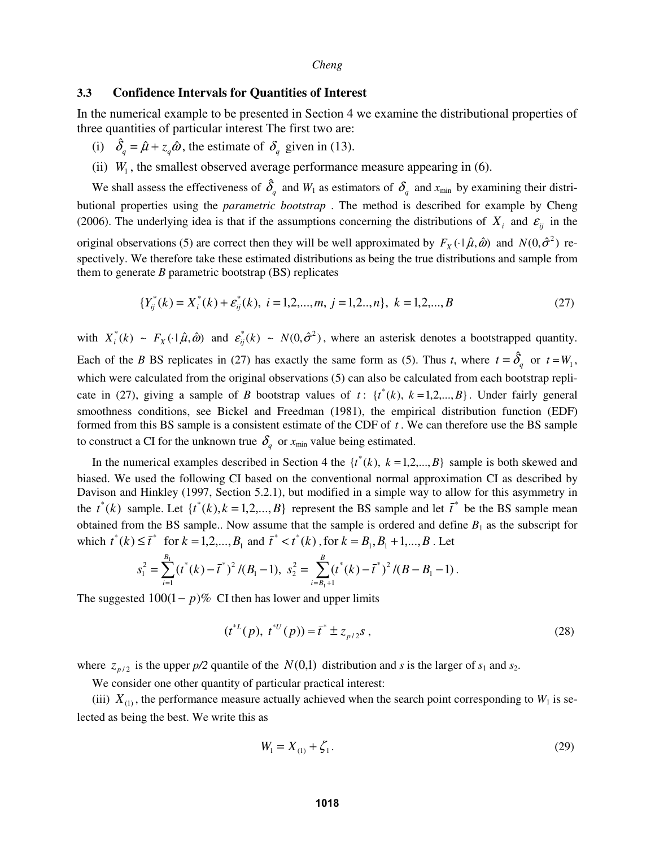# **3.3 Confidence Intervals for Quantities of Interest**

In the numerical example to be presented in Section 4 we examine the distributional properties of three quantities of particular interest The first two are:

- (i)  $\hat{\delta}_q = \hat{\mu} + z_q \hat{\omega}$ , the estimate of  $\delta_q$  given in (13).
	- (ii)  $W_1$ , the smallest observed average performance measure appearing in (6).

We shall assess the effectiveness of  $\hat{\delta}_q$  and  $W_1$  as estimators of  $\delta_q$  and  $x_{min}$  by examining their distributional properties using the *parametric bootstrap* . The method is described for example by Cheng (2006). The underlying idea is that if the assumptions concerning the distributions of  $X_i$  and  $\epsilon_{ii}$  in the

original observations (5) are correct then they will be well approximated by  $F_X(\cdot|\hat{\mu}, \hat{\omega})$  and  $N(0, \hat{\sigma}^2)$  respectively. We therefore take these estimated distributions as being the true distributions and sample from them to generate  $B$  parametric bootstrap  $(BS)$  replicates

$$
\{Y_{ij}^*(k) = X_i^*(k) + \varepsilon_{ij}^*(k), \ i = 1, 2, ..., m, \ j = 1, 2, ..., n\}, \ k = 1, 2, ..., B
$$
\n(27)

with  $X_i^*(k) \sim F_X(\cdot | \hat{\mu}, \hat{\omega})$  and  $\mathcal{E}_{ij}^*(k) \sim N(0, \hat{\sigma}^2)$ , where an asterisk denotes a bootstrapped quantity. Each of the *B* BS replicates in (27) has exactly the same form as (5). Thus *t*, where  $t = \hat{\delta}_q$  or  $t = W_1$ , which were calculated from the original observations (5) can also be calculated from each bootstrap replicate in (27), giving a sample of *B* bootstrap values of *t*:  $\{t^*(k), k = 1, 2, ..., B\}$ . Under fairly general smoothness conditions, see Bickel and Freedman (1981), the empirical distribution function (EDF) formed from this BS sample is a consistent estimate of the CDF of *t* . We can therefore use the BS sample to construct a CI for the unknown true  $\delta_{q}$  or  $x_{\text{min}}$  value being estimated.

In the numerical examples described in Section 4 the  $\{t^*(k), k = 1, 2, ..., B\}$  sample is both skewed and biased. We used the following CI based on the conventional normal approximation CI as described by Davison and Hinkley (1997, Section 5.2.1), but modified in a simple way to allow for this asymmetry in the  $t^*(k)$  sample. Let  $\{t^*(k), k = 1, 2, ..., B\}$  represent the BS sample and let  $\bar{t}^*$  be the BS sample mean obtained from the BS sample.. Now assume that the sample is ordered and define  $B_1$  as the subscript for which  $t^*(k) \leq \overline{t}^*$  for  $k = 1, 2, ..., B_1$  and  $\overline{t}^* < t^*(k)$ , for  $k = B_1, B_1 + 1, ..., B$ . Let

$$
s_1^2 = \sum_{i=1}^{B_1} (t^*(k) - \overline{t}^*)^2 / (B_1 - 1), \ s_2^2 = \sum_{i=B_1+1}^{B} (t^*(k) - \overline{t}^*)^2 / (B - B_1 - 1).
$$

The suggested  $100(1-p)\%$  CI then has lower and upper limits

$$
(t^{*L}(p), t^{*U}(p)) = \bar{t}^* \pm z_{p/2} s, \qquad (28)
$$

where  $z_{n/2}$  is the upper  $p/2$  quantile of the  $N(0,1)$  distribution and *s* is the larger of  $s_1$  and  $s_2$ .

We consider one other quantity of particular practical interest:

(iii)  $X_{(1)}$ , the performance measure actually achieved when the search point corresponding to  $W_1$  is selected as being the best. We write this as

$$
W_1 = X_{(1)} + \zeta_1. \tag{29}
$$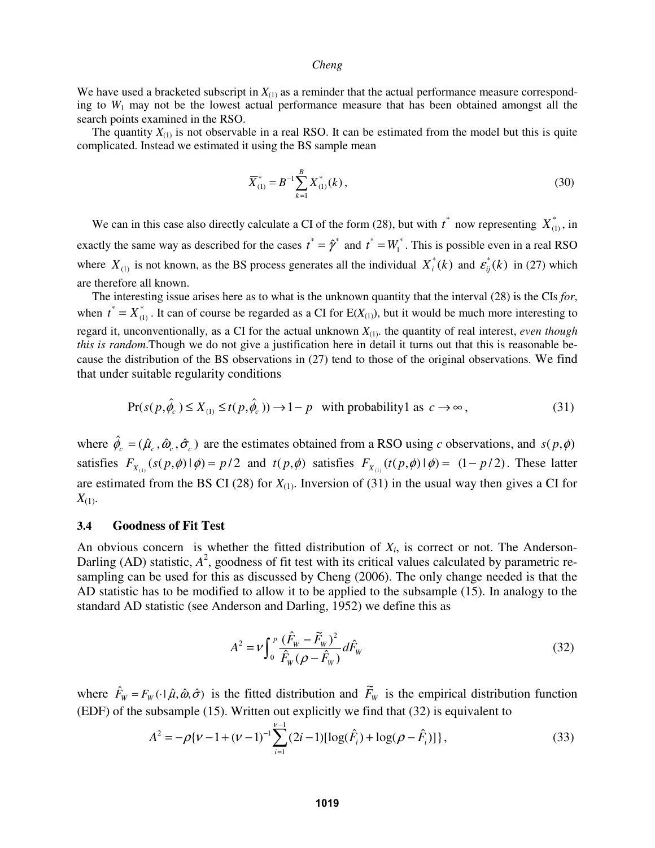We have used a bracketed subscript in  $X_{(1)}$  as a reminder that the actual performance measure corresponding to *W*1 may not be the lowest actual performance measure that has been obtained amongst all the search points examined in the RSO.

The quantity  $X_{(1)}$  is not observable in a real RSO. It can be estimated from the model but this is quite complicated. Instead we estimated it using the BS sample mean

$$
\overline{X}_{(1)}^* = B^{-1} \sum_{k=1}^B X_{(1)}^*(k) , \qquad (30)
$$

We can in this case also directly calculate a CI of the form (28), but with  $t^*$  now representing  $X^*_{(1)}$ , in exactly the same way as described for the cases  $t^* = \hat{\gamma}^*$  and  $t^* = W_1^*$ . This is possible even in a real RSO where  $X_{(1)}$  is not known, as the BS process generates all the individual  $X_i^*(k)$  and  $\mathcal{E}_{ij}^*(k)$  in (27) which are therefore all known.

 The interesting issue arises here as to what is the unknown quantity that the interval (28) is the CIs *for*, when  $t^* = X^*_{(1)}$ . It can of course be regarded as a CI for  $E(X_{(1)})$ , but it would be much more interesting to regard it, unconventionally, as a CI for the actual unknown  $X_{(1)}$ , the quantity of real interest, *even though this is random*.Though we do not give a justification here in detail it turns out that this is reasonable because the distribution of the BS observations in (27) tend to those of the original observations. We find that under suitable regularity conditions

$$
\Pr(s(p, \hat{\phi}_c) \le X_{(1)} \le t(p, \hat{\phi}_c)) \to 1 - p \quad \text{with probability 1 as } c \to \infty,
$$
\n(31)

where  $\hat{\phi}_c = (\hat{\mu}_c, \hat{\omega}_c, \hat{\sigma}_c)$  are the estimates obtained from a RSO using *c* observations, and  $s(p, \phi)$ satisfies  $F_{X_{(1)}}(s(p,\phi)|\phi) = p/2$  and  $t(p,\phi)$  satisfies  $F_{X_{(1)}}(t(p,\phi)|\phi) = (1-p/2)$ . These latter are estimated from the BS CI (28) for  $X_{(1)}$ . Inversion of (31) in the usual way then gives a CI for *X*(1).

### **3.4 Goodness of Fit Test**

An obvious concern is whether the fitted distribution of *Xi*, is correct or not. The Anderson-Darling (AD) statistic,  $A^2$ , goodness of fit test with its critical values calculated by parametric resampling can be used for this as discussed by Cheng (2006). The only change needed is that the AD statistic has to be modified to allow it to be applied to the subsample (15). In analogy to the standard AD statistic (see Anderson and Darling, 1952) we define this as

$$
A^2 = V \int_0^p \frac{(\hat{F}_w - \tilde{F}_w)^2}{\hat{F}_w (\rho - \hat{F}_w)} d\hat{F}_w
$$
\n(32)

where  $\hat{F}_w = F_w(\cdot | \hat{\mu}, \hat{\omega}, \hat{\sigma})$  is the fitted distribution and  $\tilde{F}_w$  is the empirical distribution function (EDF) of the subsample (15). Written out explicitly we find that (32) is equivalent to

$$
A^{2} = -\rho \{ \nu - 1 + (\nu - 1)^{-1} \sum_{i=1}^{\nu-1} (2i - 1) [\log(\hat{F}_{i}) + \log(\rho - \hat{F}_{i})] \},
$$
\n(33)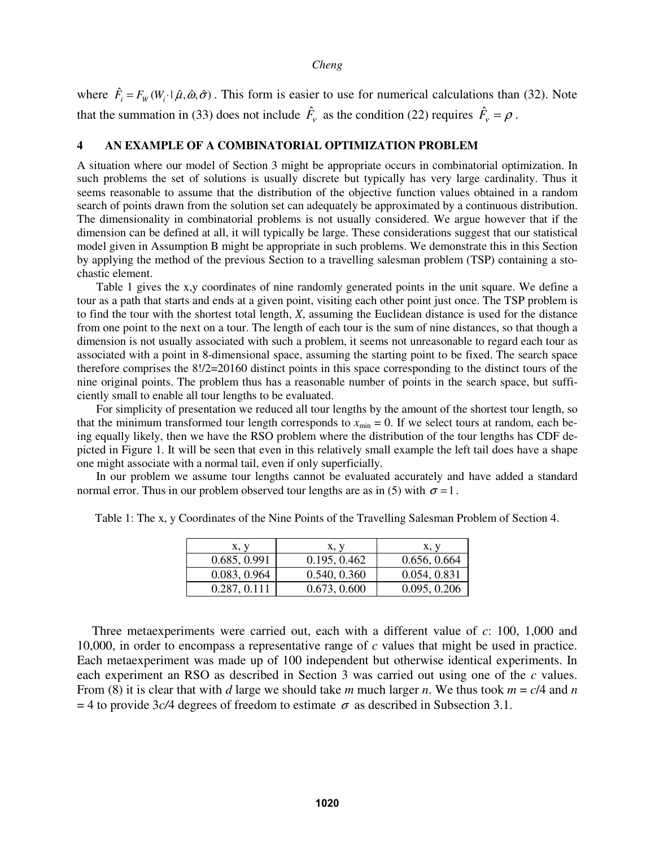where  $\hat{F}_i = F_W(W_i \cdot | \hat{\mu}, \hat{\omega}, \hat{\sigma})$ . This form is easier to use for numerical calculations than (32). Note that the summation in (33) does not include  $\hat{F}_v$  as the condition (22) requires  $\hat{F}_v = \rho$ .

# **4 AN EXAMPLE OF A COMBINATORIAL OPTIMIZATION PROBLEM**

A situation where our model of Section 3 might be appropriate occurs in combinatorial optimization. In such problems the set of solutions is usually discrete but typically has very large cardinality. Thus it seems reasonable to assume that the distribution of the objective function values obtained in a random search of points drawn from the solution set can adequately be approximated by a continuous distribution. The dimensionality in combinatorial problems is not usually considered. We argue however that if the dimension can be defined at all, it will typically be large. These considerations suggest that our statistical model given in Assumption B might be appropriate in such problems. We demonstrate this in this Section by applying the method of the previous Section to a travelling salesman problem (TSP) containing a stochastic element.

 Table 1 gives the x,y coordinates of nine randomly generated points in the unit square. We define a tour as a path that starts and ends at a given point, visiting each other point just once. The TSP problem is to find the tour with the shortest total length, *X*, assuming the Euclidean distance is used for the distance from one point to the next on a tour. The length of each tour is the sum of nine distances, so that though a dimension is not usually associated with such a problem, it seems not unreasonable to regard each tour as associated with a point in 8-dimensional space, assuming the starting point to be fixed. The search space therefore comprises the 8!/2=20160 distinct points in this space corresponding to the distinct tours of the nine original points. The problem thus has a reasonable number of points in the search space, but sufficiently small to enable all tour lengths to be evaluated.

 For simplicity of presentation we reduced all tour lengths by the amount of the shortest tour length, so that the minimum transformed tour length corresponds to  $x_{min} = 0$ . If we select tours at random, each being equally likely, then we have the RSO problem where the distribution of the tour lengths has CDF depicted in Figure 1. It will be seen that even in this relatively small example the left tail does have a shape one might associate with a normal tail, even if only superficially.

In our problem we assume tour lengths cannot be evaluated accurately and have added a standard normal error. Thus in our problem observed tour lengths are as in (5) with  $\sigma = 1$ .

| x, y         | x, y         | x, y         |  |  |
|--------------|--------------|--------------|--|--|
| 0.685, 0.991 | 0.195, 0.462 | 0.656, 0.664 |  |  |
| 0.083, 0.964 | 0.540, 0.360 | 0.054, 0.831 |  |  |
| 0.287, 0.111 | 0.673, 0.600 | 0.095, 0.206 |  |  |

Table 1: The x, y Coordinates of the Nine Points of the Travelling Salesman Problem of Section 4.

 Three metaexperiments were carried out, each with a different value of *c*: 100, 1,000 and 10,000, in order to encompass a representative range of *c* values that might be used in practice. Each metaexperiment was made up of 100 independent but otherwise identical experiments. In each experiment an RSO as described in Section 3 was carried out using one of the *c* values. From (8) it is clear that with *d* large we should take *m* much larger *n*. We thus took  $m = c/4$  and *n*  $=$  4 to provide 3*c*/4 degrees of freedom to estimate  $\sigma$  as described in Subsection 3.1.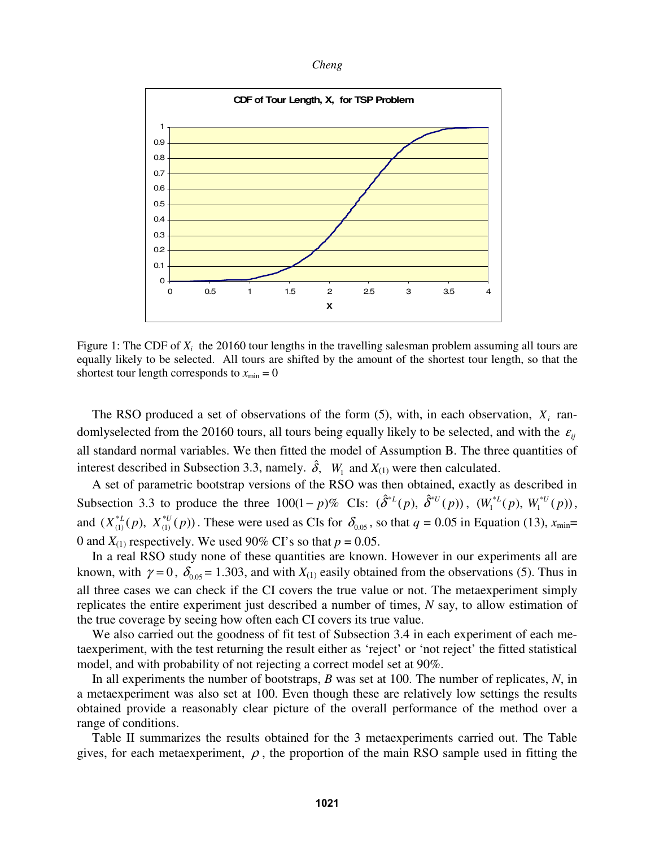*Cheng* 



Figure 1: The CDF of  $X_i$  the 20160 tour lengths in the travelling salesman problem assuming all tours are equally likely to be selected. All tours are shifted by the amount of the shortest tour length, so that the shortest tour length corresponds to  $x_{min} = 0$ 

The RSO produced a set of observations of the form  $(5)$ , with, in each observation,  $X_i$  randomlyselected from the 20160 tours, all tours being equally likely to be selected, and with the  $\varepsilon_{ij}$ all standard normal variables. We then fitted the model of Assumption B. The three quantities of interest described in Subsection 3.3, namely.  $\hat{\delta}$ ,  $W_1$  and  $X_{(1)}$  were then calculated.

 A set of parametric bootstrap versions of the RSO was then obtained, exactly as described in Subsection 3.3 to produce the three  $100(1-p)\%$  CIs:  $(\hat{\delta}^{*L}(p), \hat{\delta}^{*U}(p))$ ,  $(W_1^{*L}(p), W_1^{*U}(p))$  $W_1^{*L}(p)$ ,  $W_1^{*U}(p)$ , and  $(X_{(1)}^{*L}(p), X_{(1)}^{*U}(p))$  $X^{*}_{(1)}(p)$ ,  $X^{*}_{(1)}(p)$ . These were used as CIs for  $\delta_{0.05}$ , so that  $q = 0.05$  in Equation (13),  $x_{\text{min}} =$ 0 and  $X_{(1)}$  respectively. We used 90% CI's so that  $p = 0.05$ .

 In a real RSO study none of these quantities are known. However in our experiments all are known, with  $\gamma = 0$ ,  $\delta_{0.05} = 1.303$ , and with  $X_{(1)}$  easily obtained from the observations (5). Thus in all three cases we can check if the CI covers the true value or not. The metaexperiment simply replicates the entire experiment just described a number of times, *N* say, to allow estimation of the true coverage by seeing how often each CI covers its true value.

We also carried out the goodness of fit test of Subsection 3.4 in each experiment of each metaexperiment, with the test returning the result either as 'reject' or 'not reject' the fitted statistical model, and with probability of not rejecting a correct model set at 90%.

 In all experiments the number of bootstraps, *B* was set at 100. The number of replicates, *N*, in a metaexperiment was also set at 100. Even though these are relatively low settings the results obtained provide a reasonably clear picture of the overall performance of the method over a range of conditions.

 Table II summarizes the results obtained for the 3 metaexperiments carried out. The Table gives, for each metaexperiment,  $\rho$ , the proportion of the main RSO sample used in fitting the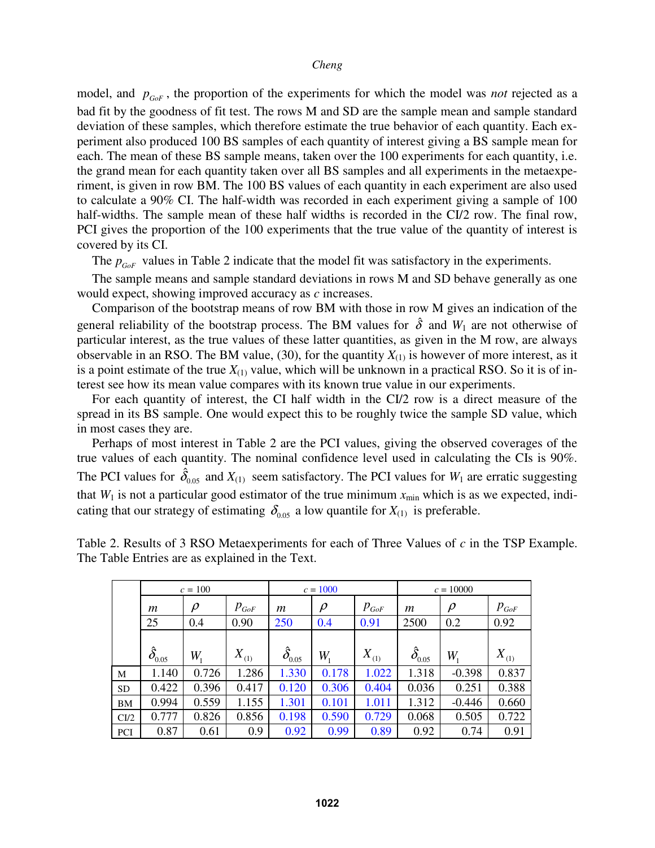model, and  $p_{G \circ F}$ , the proportion of the experiments for which the model was *not* rejected as a bad fit by the goodness of fit test. The rows M and SD are the sample mean and sample standard deviation of these samples, which therefore estimate the true behavior of each quantity. Each experiment also produced 100 BS samples of each quantity of interest giving a BS sample mean for each. The mean of these BS sample means, taken over the 100 experiments for each quantity, i.e. the grand mean for each quantity taken over all BS samples and all experiments in the metaexperiment, is given in row BM. The 100 BS values of each quantity in each experiment are also used to calculate a 90% CI. The half-width was recorded in each experiment giving a sample of 100 half-widths. The sample mean of these half widths is recorded in the CI/2 row. The final row, PCI gives the proportion of the 100 experiments that the true value of the quantity of interest is covered by its CI.

The  $p_{\text{GoF}}$  values in Table 2 indicate that the model fit was satisfactory in the experiments.

 The sample means and sample standard deviations in rows M and SD behave generally as one would expect, showing improved accuracy as *c* increases.

 Comparison of the bootstrap means of row BM with those in row M gives an indication of the general reliability of the bootstrap process. The BM values for  $\hat{\delta}$  and  $W_1$  are not otherwise of particular interest, as the true values of these latter quantities, as given in the M row, are always observable in an RSO. The BM value, (30), for the quantity  $X_{(1)}$  is however of more interest, as it is a point estimate of the true  $X_{(1)}$  value, which will be unknown in a practical RSO. So it is of interest see how its mean value compares with its known true value in our experiments.

 For each quantity of interest, the CI half width in the CI/2 row is a direct measure of the spread in its BS sample. One would expect this to be roughly twice the sample SD value, which in most cases they are.

 Perhaps of most interest in Table 2 are the PCI values, giving the observed coverages of the true values of each quantity. The nominal confidence level used in calculating the CIs is 90%. The PCI values for  $\hat{\delta}_{0.05}$  and  $X_{(1)}$  seem satisfactory. The PCI values for  $W_1$  are erratic suggesting that  $W_1$  is not a particular good estimator of the true minimum  $x_{\text{min}}$  which is as we expected, indicating that our strategy of estimating  $\delta_{0.05}$  a low quantile for  $X_{(1)}$  is preferable.

|            | $c = 100$                         |                              |           | $c = 1000$                        |        |           | $c = 10000$                       |                               |           |
|------------|-----------------------------------|------------------------------|-----------|-----------------------------------|--------|-----------|-----------------------------------|-------------------------------|-----------|
|            | m                                 | $\rho$                       | $p_{GoF}$ | m                                 | $\rho$ | $p_{GoF}$ | m                                 | $\rho$                        | $p_{GoF}$ |
|            | 25                                | 0.4                          | 0.90      | 250                               | 0.4    | 0.91      | 2500                              | 0.2                           | 0.92      |
|            |                                   |                              |           |                                   |        |           |                                   |                               |           |
|            | $\hat{\delta}_\text{\tiny{0.05}}$ | $W_{\!\scriptscriptstyle 1}$ | $X_{(1)}$ | $\hat{\delta}_\text{\tiny{0.05}}$ | $W_1$  | $X_{(1)}$ | $\hat{\delta}_\text{\tiny{0.05}}$ | $W_{\!\scriptscriptstyle{1}}$ | $X_{(1)}$ |
| M          | 1.140                             | 0.726                        | 1.286     | 1.330                             | 0.178  | 1.022     | 1.318                             | $-0.398$                      | 0.837     |
| <b>SD</b>  | 0.422                             | 0.396                        | 0.417     | 0.120                             | 0.306  | 0.404     | 0.036                             | 0.251                         | 0.388     |
| <b>BM</b>  | 0.994                             | 0.559                        | 1.155     | 1.301                             | 0.101  | 1.011     | 1.312                             | $-0.446$                      | 0.660     |
| CI/2       | 0.777                             | 0.826                        | 0.856     | 0.198                             | 0.590  | 0.729     | 0.068                             | 0.505                         | 0.722     |
| <b>PCI</b> | 0.87                              | 0.61                         | 0.9       | 0.92                              | 0.99   | 0.89      | 0.92                              | 0.74                          | 0.91      |

Table 2. Results of 3 RSO Metaexperiments for each of Three Values of *c* in the TSP Example. The Table Entries are as explained in the Text.